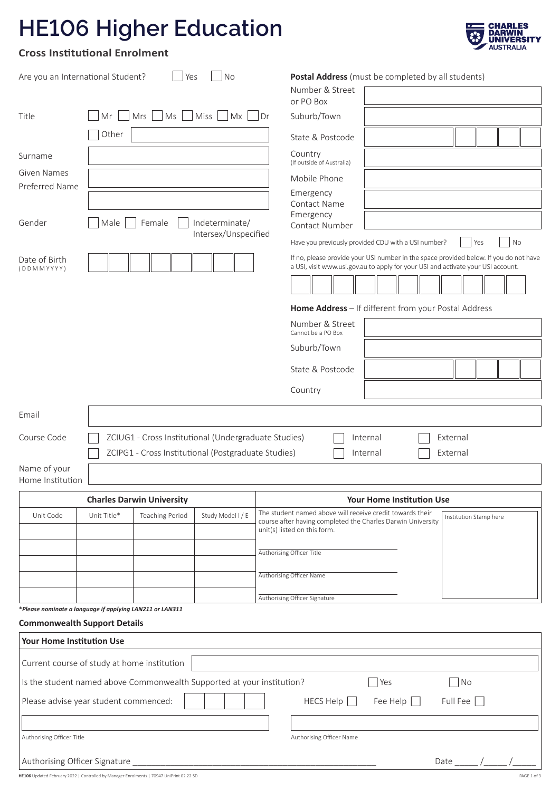# **HE106 Higher Education**



## **Cross Institutional Enrolment**

| Are you an International Student?                                                                                                                                         | Yes                                                  | <b>No</b>            | <b>Postal Address</b> (must be completed by all students)                                                                                                                          |  |  |  |
|---------------------------------------------------------------------------------------------------------------------------------------------------------------------------|------------------------------------------------------|----------------------|------------------------------------------------------------------------------------------------------------------------------------------------------------------------------------|--|--|--|
|                                                                                                                                                                           |                                                      |                      | Number & Street<br>or PO Box                                                                                                                                                       |  |  |  |
| Title<br>Mr                                                                                                                                                               | $Mrs$   $Ms$   $Miss$                                | Mx                   | l Dr<br>Suburb/Town                                                                                                                                                                |  |  |  |
|                                                                                                                                                                           | Other                                                |                      | State & Postcode                                                                                                                                                                   |  |  |  |
| Surname                                                                                                                                                                   |                                                      |                      | Country                                                                                                                                                                            |  |  |  |
| <b>Given Names</b>                                                                                                                                                        |                                                      |                      | (If outside of Australia)                                                                                                                                                          |  |  |  |
| Preferred Name                                                                                                                                                            |                                                      |                      | Mobile Phone<br>Emergency                                                                                                                                                          |  |  |  |
|                                                                                                                                                                           |                                                      |                      | <b>Contact Name</b>                                                                                                                                                                |  |  |  |
| Gender                                                                                                                                                                    | Male<br>Female                                       | Indeterminate/       | Emergency<br>Contact Number                                                                                                                                                        |  |  |  |
|                                                                                                                                                                           |                                                      | Intersex/Unspecified | Have you previously provided CDU with a USI number?<br>No<br>Yes                                                                                                                   |  |  |  |
| Date of Birth<br>(DDMMYYYY)                                                                                                                                               |                                                      |                      | If no, please provide your USI number in the space provided below. If you do not have<br>a USI, visit www.usi.gov.au to apply for your USI and activate your USI account.          |  |  |  |
|                                                                                                                                                                           |                                                      |                      |                                                                                                                                                                                    |  |  |  |
|                                                                                                                                                                           |                                                      |                      |                                                                                                                                                                                    |  |  |  |
|                                                                                                                                                                           |                                                      |                      | Home Address - If different from your Postal Address<br>Number & Street                                                                                                            |  |  |  |
|                                                                                                                                                                           |                                                      |                      | Cannot be a PO Box                                                                                                                                                                 |  |  |  |
|                                                                                                                                                                           |                                                      |                      | Suburb/Town                                                                                                                                                                        |  |  |  |
|                                                                                                                                                                           |                                                      |                      | State & Postcode                                                                                                                                                                   |  |  |  |
|                                                                                                                                                                           |                                                      |                      | Country                                                                                                                                                                            |  |  |  |
| Email                                                                                                                                                                     |                                                      |                      |                                                                                                                                                                                    |  |  |  |
| Course Code                                                                                                                                                               | ZCIUG1 - Cross Institutional (Undergraduate Studies) |                      | External<br>Internal                                                                                                                                                               |  |  |  |
|                                                                                                                                                                           | ZCIPG1 - Cross Institutional (Postgraduate Studies)  |                      | Internal<br>External                                                                                                                                                               |  |  |  |
| Name of your                                                                                                                                                              |                                                      |                      |                                                                                                                                                                                    |  |  |  |
| Home Institution                                                                                                                                                          |                                                      |                      |                                                                                                                                                                                    |  |  |  |
|                                                                                                                                                                           | <b>Charles Darwin University</b>                     |                      | <b>Your Home Institution Use</b>                                                                                                                                                   |  |  |  |
| Unit Code<br>Unit Title*                                                                                                                                                  | <b>Teaching Period</b>                               | Study Model I/E      | The student named above will receive credit towards their<br>Institution Stamp here<br>course after having completed the Charles Darwin University<br>unit(s) listed on this form. |  |  |  |
|                                                                                                                                                                           |                                                      |                      | Authorising Officer Title                                                                                                                                                          |  |  |  |
|                                                                                                                                                                           |                                                      |                      |                                                                                                                                                                                    |  |  |  |
|                                                                                                                                                                           |                                                      |                      | Authorising Officer Name                                                                                                                                                           |  |  |  |
|                                                                                                                                                                           |                                                      |                      | Authorising Officer Signature                                                                                                                                                      |  |  |  |
| *Please nominate a language if applying LAN211 or LAN311<br><b>Commonwealth Support Details</b>                                                                           |                                                      |                      |                                                                                                                                                                                    |  |  |  |
| <b>Your Home Institution Use</b>                                                                                                                                          |                                                      |                      |                                                                                                                                                                                    |  |  |  |
| Current course of study at home institution                                                                                                                               |                                                      |                      |                                                                                                                                                                                    |  |  |  |
|                                                                                                                                                                           |                                                      |                      | $\bigcap$ Yes<br>$\neg$ No                                                                                                                                                         |  |  |  |
| Is the student named above Commonwealth Supported at your institution?<br>Fee Help $\Box$<br>Full Fee $\Box$<br>Please advise year student commenced:<br>HECS Help $\Box$ |                                                      |                      |                                                                                                                                                                                    |  |  |  |
|                                                                                                                                                                           |                                                      |                      |                                                                                                                                                                                    |  |  |  |
| Authorising Officer Title                                                                                                                                                 |                                                      |                      |                                                                                                                                                                                    |  |  |  |
|                                                                                                                                                                           |                                                      |                      | Authorising Officer Name                                                                                                                                                           |  |  |  |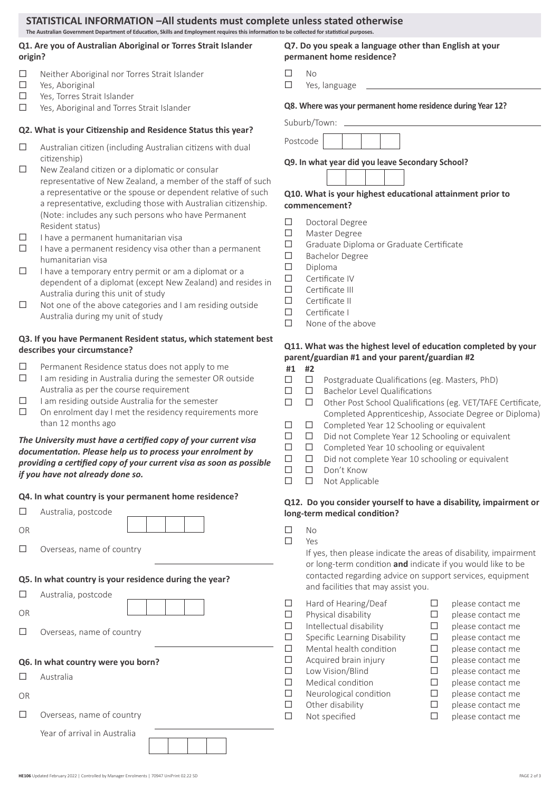## **STATISTICAL INFORMATION –All students must complete unless stated otherwise**

#### **The Australian Government Department of Education, Skills and Employment requires this information to be collected for statistical purposes.**

## **Q1. Are you of Australian Aboriginal or Torres Strait Islander origin?**

- $\Box$  Neither Aboriginal nor Torres Strait Islander
- □ Yes, Aboriginal
- □ Yes, Torres Strait Islander
- □ Yes, Aboriginal and Torres Strait Islander

#### **Q2. What is your Citizenship and Residence Status this year?**

- $\Box$  Australian citizen (including Australian citizens with dual citizenship)
- $\square$  New Zealand citizen or a diplomatic or consular representative of New Zealand, a member of the staff of such a representative or the spouse or dependent relative of such a representative, excluding those with Australian citizenship. (Note: includes any such persons who have Permanent Resident status)
- $\Box$  I have a permanent humanitarian visa
- $\Box$  I have a permanent residency visa other than a permanent humanitarian visa
- $\Box$  I have a temporary entry permit or am a diplomat or a dependent of a diplomat (except New Zealand) and resides in Australia during this unit of study
- $\square$  Not one of the above categories and I am residing outside Australia during my unit of study

#### **Q3. If you have Permanent Resident status, which statement best describes your circumstance?**

- $\square$  Permanent Residence status does not apply to me
- $\Box$  I am residing in Australia during the semester OR outside Australia as per the course requirement
- $\Box$  I am residing outside Australia for the semester
- $\square$  On enrolment day I met the residency requirements more than 12 months ago

#### *The University must have a certified copy of your current visa documentation. Please help us to process your enrolment by providing a certified copy of your current visa as soon as possible if you have not already done so.*

#### **Q4. In what country is your permanent home residence?**

| . .<br>٦<br>٧<br>× | ٥ |
|--------------------|---|
|                    |   |

 $\Box$  Overseas, name of country

#### **Q5. In what country is your residence during the year?**

| □  | Australia, postcode                |
|----|------------------------------------|
| OR |                                    |
|    | Overseas, name of country          |
|    | Q6. In what country were you born? |
| Ш  | Australia                          |
| OR |                                    |
| ш  | Overseas, name of country          |
|    | Year of arrival in Australia       |

**Q7. Do you speak a language other than English at your permanent home residence?**

- $\square$  No
- □ Yes, language

**Q8. Where was your permanent home residence during Year 12?**

Suburb/Town:



**Q9. In what year did you leave Secondary School?**

#### **Q10. What is your highest educational attainment prior to commencement?**

- Doctoral Degree
- Master Degree
- Graduate Diploma or Graduate Certificate
- □ Bachelor Degree
- $\square$  Diploma
- $\square$  Certificate IV
- $\square$  Certificate III
- $\Box$  Certificate II
- Certificate I
- $\square$  None of the above

#### **Q11. What was the highest level of education completed by your parent/guardian #1 and your parent/guardian #2**

- **#1 #2**
- $\square$   $\square$  Postgraduate Qualifications (eg. Masters, PhD)
- $\square$   $\square$  Bachelor Level Qualifications
- Other Post School Qualifications (eg. VET/TAFE Certificate, Completed Apprenticeship, Associate Degree or Diploma)
- $\Box$   $\Box$  Completed Year 12 Schooling or equivalent
- D Did not Complete Year 12 Schooling or equivalent
- $\square$   $\square$  Completed Year 10 schooling or equivalent
- $\square$   $\square$  Did not complete Year 10 schooling or equivalent
- Don't Know
- $\square$   $\square$  Not Applicable

#### **Q12. Do you consider yourself to have a disability, impairment or long-term medical condition?**

- $\Box$  No
- $\Pi$  Yes

If yes, then please indicate the areas of disability, impairment or long-term condition **and** indicate if you would like to be contacted regarding advice on support services, equipment and facilities that may assist you.

- $\Box$  Hard of Hearing/Deaf  $\Box$  please contact me  $\Box$  Physical disability  $\Box$  please contact me  $\Box$  Intellectual disability  $\Box$  please contact me  $\Box$  Specific Learning Disability  $\Box$  please contact me  $\Box$  Mental health condition  $\Box$  please contact me  $\Box$  Acquired brain injury  $\Box$  please contact me  $\square$  Low Vision/Blind  $\square$  please contact me
- $\Box$  Medical condition  $\Box$  please contact me
- $\Box$  Neurological condition  $\Box$  please contact me
- $\Box$  Other disability  $\Box$  please contact me
- $\Box$  Not specified  $\Box$  please contact me
- 
- 
- 
- 
- 
- 
- -
- 
- **HE106** Updated February 2022 | Controlled by Manager Enrolments | 70947 UniPrint 02.22 SD PAGE 2 of 3